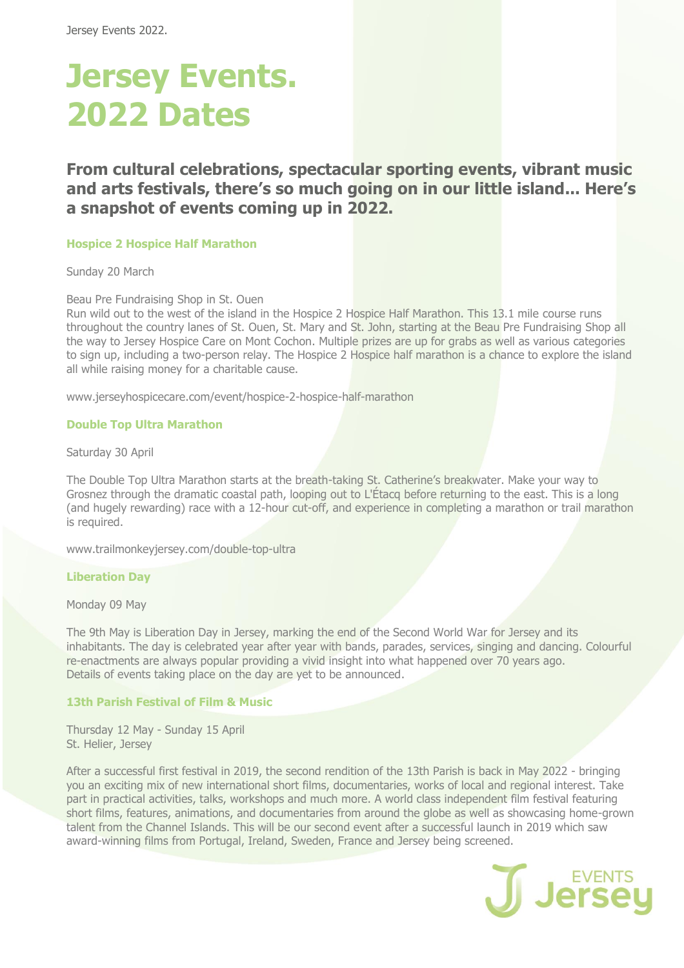# **Jersey Events. 2022 Dates**

**From cultural celebrations, spectacular sporting events, vibrant music and arts festivals, there's so much going on in our little island... Here's a snapshot of events coming up in 2022.**

#### **Hospice 2 Hospice Half Marathon**

Sunday 20 March

Beau Pre Fundraising Shop in St. Ouen

Run wild out to the west of the island in the Hospice 2 Hospice Half Marathon. This 13.1 mile course runs throughout the country lanes of St. Ouen, St. Mary and St. John, starting at the Beau Pre Fundraising Shop all the way to Jersey Hospice Care on Mont Cochon. Multiple prizes are up for grabs as well as various categories to sign up, including a two-person relay. The Hospice 2 Hospice half marathon is a chance to explore the island all while raising money for a charitable cause.

www.jerseyhospicecare.com/event/hospice-2-hospice-half-marathon

## **Double Top Ultra Marathon**

Saturday 30 April

The Double Top Ultra Marathon starts at the breath-taking St. Catherine's breakwater. Make your way to Grosnez through the dramatic coastal path, looping out to L'Étacq before returning to the east. This is a long (and hugely rewarding) race with a 12-hour cut-off, and experience in completing a marathon or trail marathon is required.

www.trailmonkeyjersey.com/double-top-ultra

#### **Liberation Day**

Monday 09 May

The 9th May is Liberation Day in Jersey, marking the end of the Second World War for Jersey and its inhabitants. The day is celebrated year after year with bands, parades, services, singing and dancing. Colourful re-enactments are always popular providing a vivid insight into what happened over 70 years ago. Details of events taking place on the day are yet to be announced.

# **13th Parish Festival of Film & Music**

Thursday 12 May - Sunday 15 April St. Helier, Jersey

After a successful first festival in 2019, the second rendition of the 13th Parish is back in May 2022 - bringing you an exciting mix of new international short films, documentaries, works of local and regional interest. Take part in practical activities, talks, workshops and much more. A world class independent film festival featuring short films, features, animations, and documentaries from around the globe as well as showcasing home-grown talent from the Channel Islands. This will be our second event after a successful launch in 2019 which saw award-winning films from Portugal, Ireland, Sweden, France and Jersey being screened.

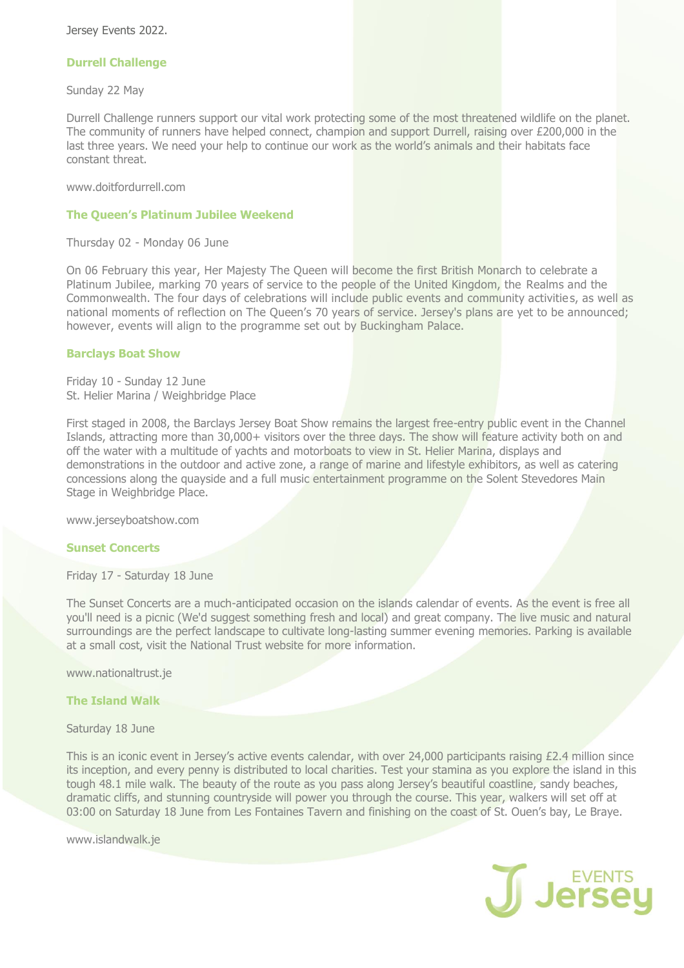Jersey Events 2022.

# **Durrell Challenge**

Sunday 22 May

Durrell Challenge runners support our vital work protecting some of the most threatened wildlife on the planet. The community of runners have helped connect, champion and support Durrell, raising over £200,000 in the last three years. We need your help to continue our work as the world's animals and their habitats face constant threat.

www.doitfordurrell.com

# **The Queen's Platinum Jubilee Weekend**

Thursday 02 - Monday 06 June

On 06 February this year, Her Majesty The Queen will become the first British Monarch to celebrate a Platinum Jubilee, marking 70 years of service to the people of the United Kingdom, the Realms and the Commonwealth. The four days of celebrations will include public events and community activities, as well as national moments of reflection on The Queen's 70 years of service. Jersey's plans are yet to be announced; however, events will align to the programme set out by Buckingham Palace.

# **Barclays Boat Show**

Friday 10 - Sunday 12 June St. Helier Marina / Weighbridge Place

First staged in 2008, the Barclays Jersey Boat Show remains the largest free-entry public event in the Channel Islands, attracting more than 30,000+ visitors over the three days. The show will feature activity both on and off the water with a multitude of yachts and motorboats to view in St. Helier Marina, displays and demonstrations in the outdoor and active zone, a range of marine and lifestyle exhibitors, as well as catering concessions along the quayside and a full music entertainment programme on the Solent Stevedores Main Stage in Weighbridge Place.

www.jerseyboatshow.com

#### **Sunset Concerts**

Friday 17 - Saturday 18 June

The Sunset Concerts are a much-anticipated occasion on the islands calendar of events. As the event is free all you'll need is a picnic (We'd suggest something fresh and local) and great company. The live music and natural surroundings are the perfect landscape to cultivate long-lasting summer evening memories. Parking is available at a small cost, visit the National Trust website for more information.

www.nationaltrust.je

## **The Island Walk**

Saturday 18 June

This is an iconic event in Jersey's active events calendar, with over 24,000 participants raising £2.4 million since its inception, and every penny is distributed to local charities. Test your stamina as you explore the island in this tough 48.1 mile walk. The beauty of the route as you pass along Jersey's beautiful coastline, sandy beaches, dramatic cliffs, and stunning countryside will power you through the course. This year, walkers will set off at 03:00 on Saturday 18 June from Les Fontaines Tavern and finishing on the coast of St. Ouen's bay, Le Braye.

www.islandwalk.je

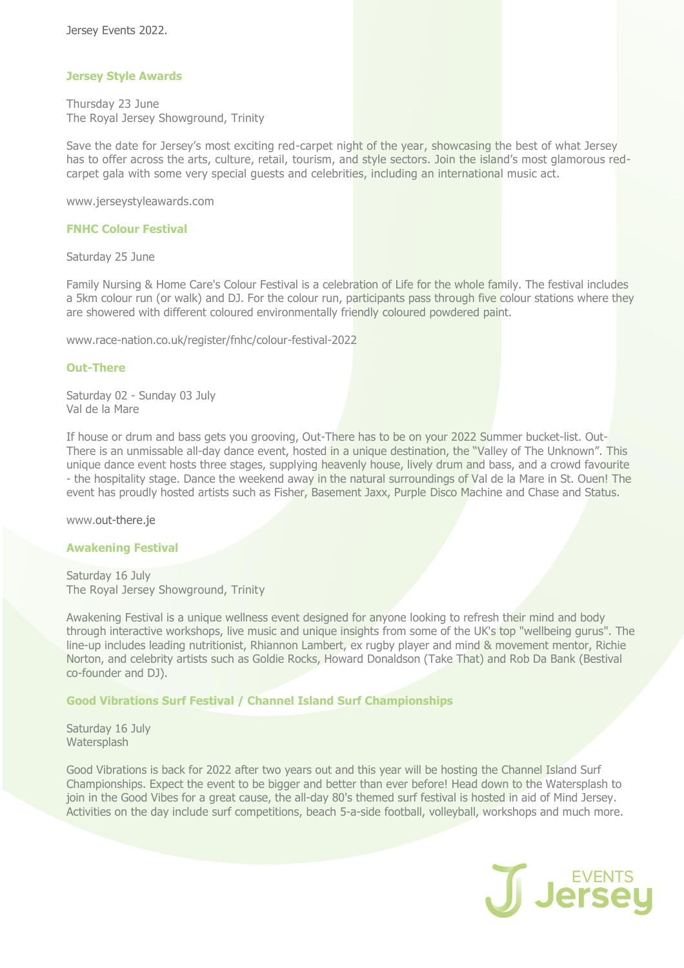# **Jersey Style Awards**

Thursday 23 June The Royal Jersey Showground, Trinity 

Save the date for Jersey's most exciting red-carpet night of the year, showcasing the best of what Jersey has to offer across the arts, culture, retail, tourism, and style sectors. Join the island's most glamorous redcarpet gala with some very special guests and celebrities, including an international music act.

www.jerseystyleawards.com

#### **FNHC Colour Festival**

Saturday 25 June

Family Nursing & Home Care's Colour Festival is a celebration of Life for the whole family. The festival includes a 5km colour run (or walk) and DJ. For the colour run, participants pass through five colour stations where they are showered with different coloured environmentally friendly coloured powdered paint.

www.race-nation.co.uk/register/fnhc/colour-festival-2022

## **Out-There**

Saturday 02 - Sunday 03 July Val de la Mare

If house or drum and bass gets you grooving, Out-There has to be on your 2022 Summer bucket-list. Out-There is an unmissable all-day dance event, hosted in a unique destination, the "Valley of The Unknown". This unique dance event hosts three stages, supplying heavenly house, lively drum and bass, and a crowd favourite - the hospitality stage. Dance the weekend away in the natural surroundings of Val de la Mare in St. Ouen! The event has proudly hosted artists such as Fisher, Basement Jaxx, Purple Disco Machine and Chase and Status.

www.out-there.je

#### **Awakening Festival**

Saturday 16 July The Royal Jersey Showground, Trinity 

Awakening Festival is a unique wellness event designed for anyone looking to refresh their mind and body through interactive workshops, live music and unique insights from some of the UK's top "wellbeing gurus". The line-up includes leading nutritionist, Rhiannon Lambert, ex rugby player and mind & movement mentor, Richie Norton, and celebrity artists such as Goldie Rocks, Howard Donaldson (Take That) and Rob Da Bank (Bestival co-founder and DJ).

# **Good Vibrations Surf Festival / Channel Island Surf Championships**

Saturday 16 July **Watersplash** 

Good Vibrations is back for 2022 after two years out and this year will be hosting the Channel Island Surf Championships. Expect the event to be bigger and better than ever before! Head down to the Watersplash to join in the Good Vibes for a great cause, the all-day 80's themed surf festival is hosted in aid of Mind Jersey. Activities on the day include surf competitions, beach 5-a-side football, volleyball, workshops and much more.

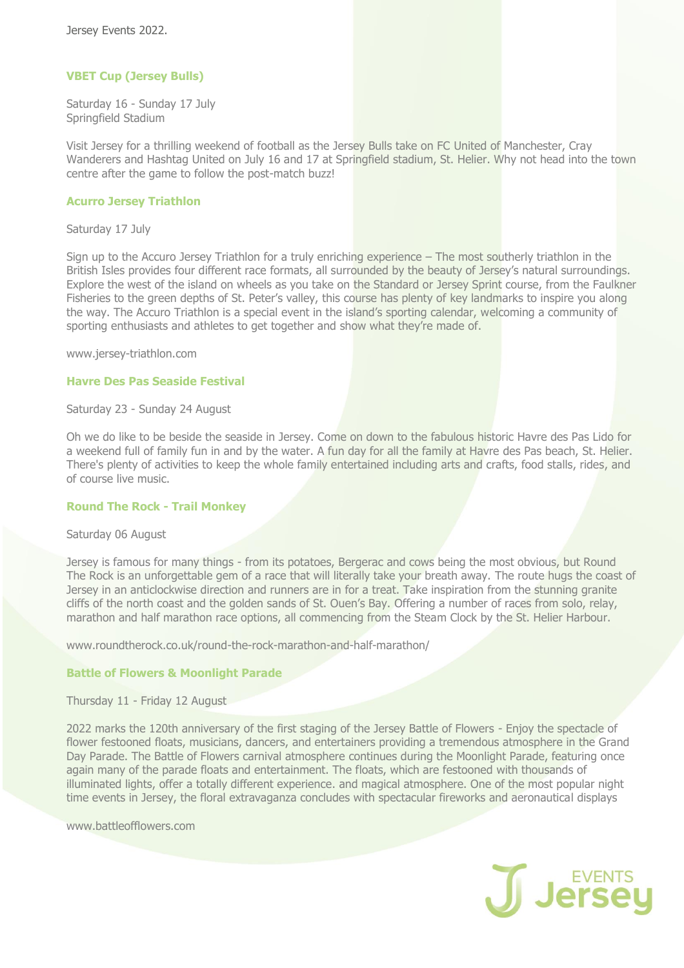# **VBET Cup (Jersey Bulls)**

Saturday 16 - Sunday 17 July Springfield Stadium

Visit Jersey for a thrilling weekend of football as the Jersey Bulls take on FC United of Manchester, Cray Wanderers and Hashtag United on July 16 and 17 at Springfield stadium, St. Helier. Why not head into the town centre after the game to follow the post-match buzz!

## **Acurro Jersey Triathlon**

Saturday 17 July

Sign up to the Accuro Jersey Triathlon for a truly enriching experience – The most southerly triathlon in the British Isles provides four different race formats, all surrounded by the beauty of Jersey's natural surroundings. Explore the west of the island on wheels as you take on the Standard or Jersey Sprint course, from the Faulkner Fisheries to the green depths of St. Peter's valley, this course has plenty of key landmarks to inspire you along the way. The Accuro Triathlon is a special event in the island's sporting calendar, welcoming a community of sporting enthusiasts and athletes to get together and show what they're made of.

www.jersey-triathlon.com

## **Havre Des Pas Seaside Festival**

Saturday 23 - Sunday 24 August

Oh we do like to be beside the seaside in Jersey. Come on down to the fabulous historic Havre des Pas Lido for a weekend full of family fun in and by the water. A fun day for all the family at Havre des Pas beach, St. Helier. There's plenty of activities to keep the whole family entertained including arts and crafts, food stalls, rides, and of course live music.

#### **Round The Rock - Trail Monkey**

#### Saturday 06 August

Jersey is famous for many things - from its potatoes, Bergerac and cows being the most obvious, but Round The Rock is an unforgettable gem of a race that will literally take your breath away. The route hugs the coast of Jersey in an anticlockwise direction and runners are in for a treat. Take inspiration from the stunning granite cliffs of the north coast and the golden sands of St. Ouen's Bay. Offering a number of races from solo, relay, marathon and half marathon race options, all commencing from the Steam Clock by the St. Helier Harbour.

www.roundtherock.co.uk/round-the-rock-marathon-and-half-marathon/

# **Battle of Flowers & Moonlight Parade**

Thursday 11 - Friday 12 August

2022 marks the 120th anniversary of the first staging of the Jersey Battle of Flowers - Enjoy the spectacle of flower festooned floats, musicians, dancers, and entertainers providing a tremendous atmosphere in the Grand Day Parade. The Battle of Flowers carnival atmosphere continues during the Moonlight Parade, featuring once again many of the parade floats and entertainment. The floats, which are festooned with thousands of illuminated lights, offer a totally different experience. and magical atmosphere. One of the most popular night time events in Jersey, the floral extravaganza concludes with spectacular fireworks and aeronautical displays

www.battleofflowers.com

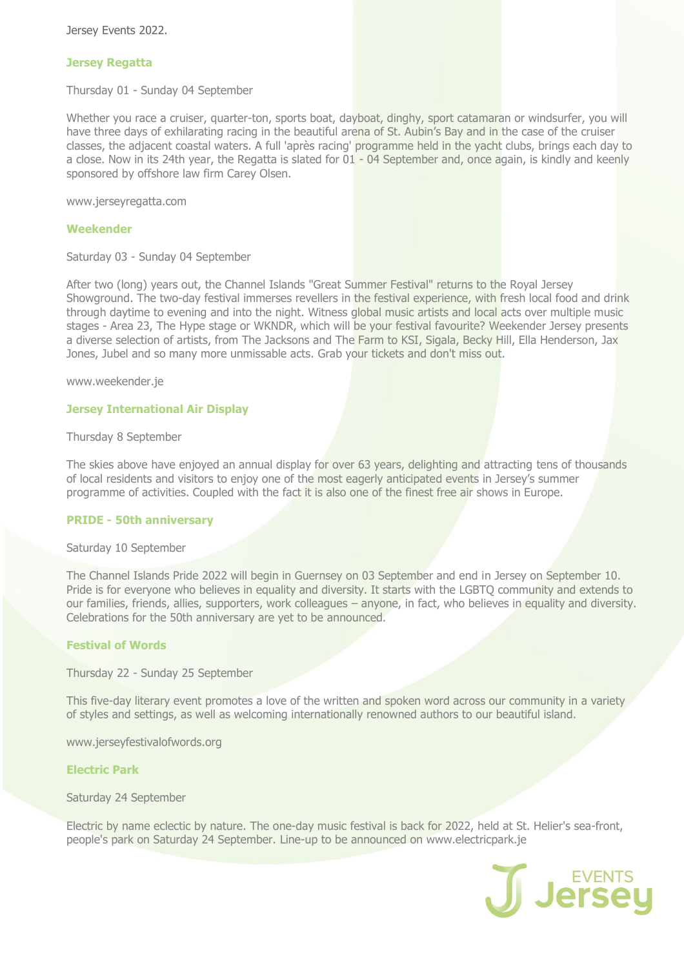Jersey Events 2022.

## **Jersey Regatta**

Thursday 01 - Sunday 04 September

Whether you race a cruiser, quarter-ton, sports boat, dayboat, dinghy, sport catamaran or windsurfer, you will have three days of exhilarating racing in the beautiful arena of St. Aubin's Bay and in the case of the cruiser classes, the adjacent coastal waters. A full 'après racing' programme held in the yacht clubs, brings each day to a close. Now in its 24th year, the Regatta is slated for 01 - 04 September and, once again, is kindly and keenly sponsored by offshore law firm Carey Olsen.

www.jerseyregatta.com

## **Weekender**

Saturday 03 - Sunday 04 September

After two (long) years out, the Channel Islands "Great Summer Festival" returns to the Royal Jersey Showground. The two-day festival immerses revellers in the festival experience, with fresh local food and drink through daytime to evening and into the night. Witness global music artists and local acts over multiple music stages - Area 23, The Hype stage or WKNDR, which will be your festival favourite? Weekender Jersey presents a diverse selection of artists, from The Jacksons and The Farm to KSI, Sigala, Becky Hill, Ella Henderson, Jax Jones, Jubel and so many more unmissable acts. Grab your tickets and don't miss out.

www.weekender.je

## **Jersey International Air Display**

#### Thursday 8 September

The skies above have enjoyed an annual display for over 63 years, delighting and attracting tens of thousands of local residents and visitors to enjoy one of the most eagerly anticipated events in Jersey's summer programme of activities. Coupled with the fact it is also one of the finest free air shows in Europe.

## **PRIDE - 50th anniversary**

#### Saturday 10 September

The Channel Islands Pride 2022 will begin in Guernsey on 03 September and end in Jersey on September 10. Pride is for everyone who believes in equality and diversity. It starts with the LGBTQ community and extends to our families, friends, allies, supporters, work colleagues – anyone, in fact, who believes in equality and diversity. Celebrations for the 50th anniversary are yet to be announced.

# **Festival of Words**

Thursday 22 - Sunday 25 September

This five-day literary event promotes a love of the written and spoken word across our community in a variety of styles and settings, as well as welcoming internationally renowned authors to our beautiful island.

www.jerseyfestivalofwords.org

#### **Electric Park**

# Saturday 24 September

Electric by name eclectic by nature. The one-day music festival is back for 2022, held at St. Helier's sea-front, people's park on Saturday 24 September. Line-up to be announced on www.electricpark.je